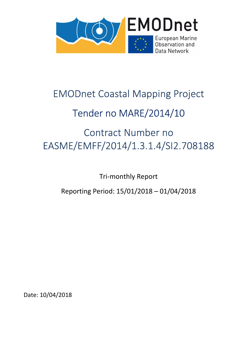

# EMODnet Coastal Mapping Project

# Tender no MARE/2014/10

# Contract Number no EASME/EMFF/2014/1.3.1.4/SI2.708188

Tri-monthly Report

Reporting Period: 15/01/2018 – 01/04/2018

Date: 10/04/2018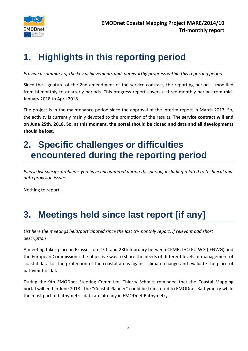

# **1. Highlights in this reporting period**

*Provide a summary of the key achievements and noteworthy progress within this reporting period.* 

Since the signature of the 2nd amendment of the service contract, the reporting period is modified from bi-monthly to quarterly periods. This progress report covers a three-monthly period from mid-January 2018 to April 2018.

The project is in the maintenance period since the approval of the interim report in March 2017. So, the activity is currently mainly devoted to the promotion of the results. **The service contract will end on June 25th, 2018. So, at this moment, the portal should be closed and data and all developments should be lost.** 

## **2. Specific challenges or difficulties encountered during the reporting period**

*Please list specific problems you have encountered during this period, including related to technical and data provision issues* 

Nothing to report.

# **3. Meetings held since last report [if any]**

*List here the meetings held/participated since the last tri-monthly report, if relevant add short description* 

A meeting takes place in Brussels on 27th and 28th february between CPMR, IHO EU WG (IENWG) and the European Commission : the objective was to share the needs of different levels of management of coastal data for the protection of the coastal areas against climate change and evaluate the place of bathymetric data.

During the 9th EMODnet Steering Commitee, Thierry Schmitt reminded that the Coastal Mapping portal will end in June 2018 : the "Coastal Planner" could be transfered to EMODnet Bathymetry while the most part of bathymetric data are already in EMODnet Bathymetry.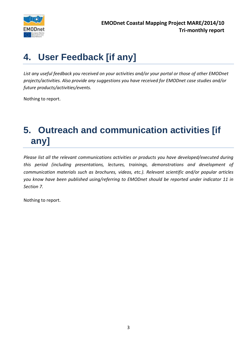

# **4. User Feedback [if any]**

*List any useful feedback you received on your activities and/or your portal or those of other EMODnet projects/activities. Also provide any suggestions you have received for EMODnet case studies and/or future products/activities/events.* 

Nothing to report.

# **5. Outreach and communication activities [if any]**

*Please list all the relevant communications activities or products you have developed/executed during this period (including presentations, lectures, trainings, demonstrations and development of communication materials such as brochures, videos, etc.). Relevant scientific and/or popular articles you know have been published using/referring to EMODnet should be reported under indicator 11 in Section 7.* 

Nothing to report.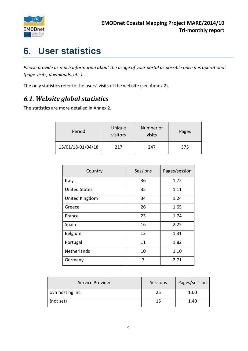

# **6. User statistics**

*Please provide as much information about the usage of your portal as possible once it is operational (page visits, downloads, etc.).* 

The only statistics refer to the users' visits of the website (see Annex 2).

### *6.1. Website global statistics*

The statistics are more detailed in Annex 2.

| Period                   | Unique<br>visitors | Number of<br>visits | Pages |
|--------------------------|--------------------|---------------------|-------|
| 15/01/18-01/04/18<br>217 |                    | 247                 | 375   |

| Country              | <b>Sessions</b> | Pages/session |
|----------------------|-----------------|---------------|
| Italy                | 36              | 1.72          |
| <b>United States</b> | 35              | 1.11          |
| United Kingdom       | 34              | 1.24          |
| Greece               | 26              | 1.65          |
| France               | 23              | 1.74          |
| Spain                | 16              | 2.25          |
| Belgium              | 13              | 1.31          |
| Portugal             | 11              | 1.82          |
| <b>Netherlands</b>   | 10              | 1.10          |
| Germany              | 7               | 2.71          |

| Service Provider | Sessions | Pages/session |
|------------------|----------|---------------|
| ovh hosting inc. | 25       | 1.00          |
| (not set)        |          | 1.40          |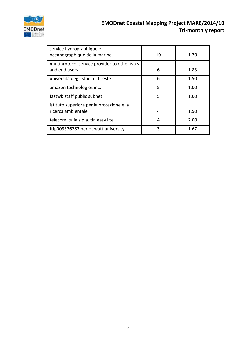

| service hydrographique et<br>oceanographique de la marine       | 10 | 1.70 |
|-----------------------------------------------------------------|----|------|
| multiprotocol service provider to other isp s<br>and end users  | 6  | 1.83 |
| universita degli studi di trieste                               | 6  | 1.50 |
| amazon technologies inc.                                        | 5  | 1.00 |
| fastwb staff public subnet                                      | 5  | 1.60 |
| istituto superiore per la protezione e la<br>ricerca ambientale | 4  | 1.50 |
| telecom italia s.p.a. tin easy lite                             | 4  | 2.00 |
| ftip003376287 heriot watt university                            | 3  | 1.67 |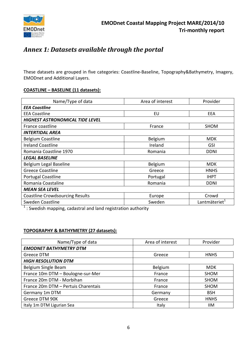

### *Annex 1: Datasets available through the portal*

These datasets are grouped in five categories: Coastline-Baseline, Topography&Bathymetry, Imagery, EMODnet and Additional Layers.

#### **COASTLINE – BASELINE (11 datasets):**

| Name/Type of data                      | Area of interest | Provider                  |  |
|----------------------------------------|------------------|---------------------------|--|
| <b>EEA Coastline</b>                   |                  |                           |  |
| <b>EEA Coastline</b>                   | EU               | EEA                       |  |
| HIGHEST ASTRONOMICAL TIDE LEVEL        |                  |                           |  |
| France coastline                       | France           | <b>SHOM</b>               |  |
| <b>INTERTIDAL AREA</b>                 |                  |                           |  |
| <b>Belgium Coastline</b>               | Belgium          | <b>MDK</b>                |  |
| <b>Ireland Coastline</b>               | Ireland          | <b>GSI</b>                |  |
| Romania Coastline 1970                 | Romania          | <b>DDNI</b>               |  |
| <b>LEGAL BASELINE</b>                  |                  |                           |  |
| Belgium Legal Baseline                 | Belgium          | <b>MDK</b>                |  |
| <b>Greece Coastline</b>                | Greece           | <b>HNHS</b>               |  |
| Portugal Coastline                     | Portugal         | <b>IHPT</b>               |  |
| Romania Coastaline                     | Romania          | <b>DDNI</b>               |  |
| <b>MEAN SEA LEVEL</b>                  |                  |                           |  |
| <b>Coastline Crowdsourcing Results</b> | Europe           | Crowd                     |  |
| Sweden Coastline                       | Sweden           | Lantmäteriet <sup>1</sup> |  |

 $1$  : Swedish mapping, cadastral and land registration authority

#### **TOPOGRAPHY & BATHYMETRY (27 datasets):**

| Name/Type of data                   | Area of interest<br>Provider |             |
|-------------------------------------|------------------------------|-------------|
| <b>EMODNET BATHYMETRY DTM</b>       |                              |             |
| Greece DTM                          | Greece                       | <b>HNHS</b> |
| <b>HIGH RESOLUTION DTM</b>          |                              |             |
| Belgium Single Beam                 | Belgium                      | <b>MDK</b>  |
| France 10m DTM - Boulogne-sur-Mer   | France                       | <b>SHOM</b> |
| France 20m DTM - Morbihan           | France                       | SHOM        |
| France 20m DTM - Pertuis Charentais | France                       | <b>SHOM</b> |
| Germany 1m DTM                      | Germany                      | <b>BSH</b>  |
| Greece DTM 90K                      | Greece                       | <b>HNHS</b> |
| Italy 1m DTM Ligurian Sea           | Italy                        | ШM          |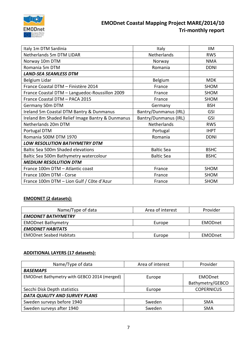

| Italy 1m DTM Sardinia                            | Italy                        | <b>IIM</b>  |
|--------------------------------------------------|------------------------------|-------------|
| Netherlands 5m DTM LIDAR                         | Netherlands                  | <b>RWS</b>  |
| Norway 10m DTM                                   | Norway                       | <b>NMA</b>  |
| Romania 5m DTM                                   | Romania                      | <b>DDNI</b> |
| <b>LAND-SEA SEAMLESS DTM</b>                     |                              |             |
| Belgium Lidar                                    | Belgium                      | <b>MDK</b>  |
| France Coastal DTM - Finistère 2014              | France                       | SHOM        |
| France Coastal DTM - Languedoc-Roussillon 2009   | France                       | SHOM        |
| France Coastal DTM - PACA 2015                   | France                       | <b>SHOM</b> |
| Germany 50m DTM                                  | Germany                      | <b>BSH</b>  |
| Ireland 5m Coastal DTM Bantry & Dunmanus         | <b>Bantry/Dunmanus (IRL)</b> | <b>GSI</b>  |
| Ireland 8m Shaded Relief Image Bantry & Dunmanus | Bantry/Dunmanus (IRL)        | <b>GSI</b>  |
| Netherlands 20m DTM                              | Netherlands                  | <b>RWS</b>  |
| Portugal DTM                                     | Portugal                     | <b>IHPT</b> |
| Romania 500M DTM 1970                            | Romania                      | <b>DDNI</b> |
| LOW RESOLUTION BATHYMETRY DTM                    |                              |             |
| <b>Baltic Sea 500m Shaded elevations</b>         | <b>Baltic Sea</b>            | <b>BSHC</b> |
| Baltic Sea 500m Bathymetry watercolour           | <b>Baltic Sea</b>            | <b>BSHC</b> |
| <b>MEDIUM RESOLUTION DTM</b>                     |                              |             |
| France 100m DTM - Atlantic coast                 | France                       | SHOM        |
| France 100m DTM - Corse                          | France                       | SHOM        |
| France 100m DTM - Lion Gulf / Côte d'Azur        | France                       | <b>SHOM</b> |

#### **EMODNET (2 datasets):**

| Name/Type of data              | Area of interest | Provider       |
|--------------------------------|------------------|----------------|
| <b>EMODNET BATHYMETRY</b>      |                  |                |
| <b>EMODnet Bathymetry</b>      | Europe           | <b>EMODnet</b> |
| <b>EMODNET HABITATS</b>        |                  |                |
| <b>EMODnet Seabed Habitats</b> | Europe           | <b>EMODnet</b> |

#### **ADDITIONAL LAYERS (17 datasets):**

| Name/Type of data                           | Area of interest | Provider          |
|---------------------------------------------|------------------|-------------------|
| <b>BASEMAPS</b>                             |                  |                   |
| EMODnet Bathymetry with GEBCO 2014 (merged) | Europe           | EMODnet           |
|                                             |                  | Bathymetry/GEBCO  |
| Secchi Disk Depth statistics                | Europe           | <b>COPERNICUS</b> |
| DATA QUALITY AND SURVEY PLANS               |                  |                   |
| Sweden surveys before 1940                  | Sweden           | <b>SMA</b>        |
| Sweden surveys after 1940                   | Sweden           | <b>SMA</b>        |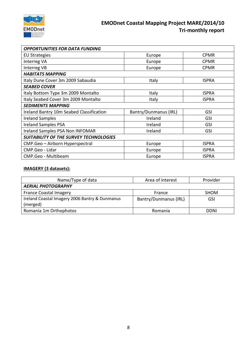

| <b>OPPORTUNITIES FOR DATA FUNDING</b>         |                       |              |
|-----------------------------------------------|-----------------------|--------------|
| <b>EU Strategies</b>                          | Europe                | <b>CPMR</b>  |
| Interreg VA                                   | Europe                | <b>CPMR</b>  |
| Interreg VB                                   | Europe                | <b>CPMR</b>  |
| <b>HABITATS MAPPING</b>                       |                       |              |
| Italy Dune Cover 3m 2009 Sabaudia             | Italy                 | <b>ISPRA</b> |
| <b>SEABED COVER</b>                           |                       |              |
| Italy Bottom Type 3m 2009 Montalto            | Italy                 | <b>ISPRA</b> |
| Italy Seabed Cover 3m 2009 Montalto           | Italy                 | <b>ISPRA</b> |
| <b>SEDIMENTS MAPPING</b>                      |                       |              |
| Ireland Bantry 10m Seabed Classification      | Bantry/Dunmanus (IRL) | <b>GSI</b>   |
| <b>Ireland Samples</b>                        | Ireland               | <b>GSI</b>   |
| <b>Ireland Samples PSA</b>                    | Ireland               | <b>GSI</b>   |
| Ireland Samples PSA Non INFOMAR               | Ireland               | <b>GSI</b>   |
| <b>SUITABILITY OF THE SURVEY TECHNOLOGIES</b> |                       |              |
| CMP.Geo - Airborn Hyperspectral               | Europe                | <b>ISPRA</b> |
| CMP.Geo - Lidar                               | Europe                | <b>ISPRA</b> |
| CMP.Geo - Multibeam                           | Europe                | <b>ISPRA</b> |

#### **IMAGERY (3 datasets):**

| Name/Type of data                              | Area of interest      | Provider    |
|------------------------------------------------|-----------------------|-------------|
| <b>AERIAL PHOTOGRAPHY</b>                      |                       |             |
| <b>France Coastal Imagery</b>                  | France                | <b>SHOM</b> |
| Ireland Coastal Imagery 2006 Bantry & Dunmanus | Bantry/Dunmanus (IRL) | <b>GSI</b>  |
| (merged)                                       |                       |             |
| Romania 1m Orthophotos                         | Romania               | DDNI        |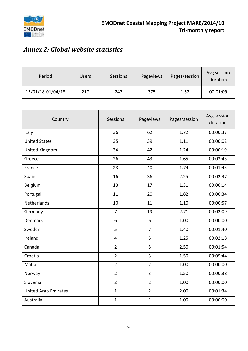

## *Annex 2: Global website statistics*

| Period            | Users | <b>Sessions</b> | Pageviews | Pages/session | Avg session<br>duration |
|-------------------|-------|-----------------|-----------|---------------|-------------------------|
| 15/01/18-01/04/18 | 217   | 247             | 375       | 1.52          | 00:01:09                |

| Country                     | <b>Sessions</b> | Pageviews      | Pages/session | Avg session<br>duration |
|-----------------------------|-----------------|----------------|---------------|-------------------------|
| Italy                       | 36              | 62             | 1.72          | 00:00:37                |
| <b>United States</b>        | 35              | 39             | 1.11          | 00:00:02                |
| United Kingdom              | 34              | 42             | 1.24          | 00:00:19                |
| Greece                      | 26              | 43             | 1.65          | 00:03:43                |
| France                      | 23              | 40             | 1.74          | 00:01:43                |
| Spain                       | 16              | 36             | 2.25          | 00:02:37                |
| Belgium                     | 13              | 17             | 1.31          | 00:00:14                |
| Portugal                    | 11              | 20             | 1.82          | 00:00:34                |
| Netherlands                 | 10              | 11             | 1.10          | 00:00:57                |
| Germany                     | $\overline{7}$  | 19             | 2.71          | 00:02:09                |
| <b>Denmark</b>              | 6               | $\sqrt{6}$     | 1.00          | 00:00:00                |
| Sweden                      | 5               | $\overline{7}$ | 1.40          | 00:01:40                |
| Ireland                     | $\overline{4}$  | 5              | 1.25          | 00:02:18                |
| Canada                      | $\overline{2}$  | 5              | 2.50          | 00:01:54                |
| Croatia                     | $\overline{2}$  | 3              | 1.50          | 00:05:44                |
| Malta                       | $\overline{2}$  | $\overline{2}$ | 1.00          | 00:00:00                |
| Norway                      | $\overline{2}$  | 3              | 1.50          | 00:00:38                |
| Slovenia                    | $\overline{2}$  | $\overline{2}$ | 1.00          | 00:00:00                |
| <b>United Arab Emirates</b> | $\mathbf{1}$    | $\overline{2}$ | 2.00          | 00:01:34                |
| Australia                   | $\mathbf{1}$    | $\mathbf{1}$   | 1.00          | 00:00:00                |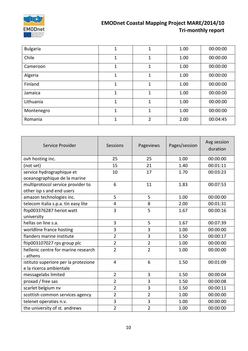

| <b>Bulgaria</b> | $\mathbf 1$ | 1              | 1.00 | 00:00:00 |
|-----------------|-------------|----------------|------|----------|
| Chile           | 1           | 1              | 1.00 | 00:00:00 |
| Cameroon        | 1           | 1              | 1.00 | 00:00:00 |
| Algeria         | 1           | 1              | 1.00 | 00:00:00 |
| Finland         | 1           | 1              | 1.00 | 00:00:00 |
| Jamaica         | 1           | 1              | 1.00 | 00:00:00 |
| Lithuania       | 1           | 1              | 1.00 | 00:00:00 |
| Montenegro      | 1           | 1              | 1.00 | 00:00:00 |
| Romania         | 1           | $\overline{2}$ | 2.00 | 00:04:45 |

| Service Provider                                                | Sessions       | Pageviews      | Pages/session | Avg session<br>duration |
|-----------------------------------------------------------------|----------------|----------------|---------------|-------------------------|
| ovh hosting inc.                                                | 25             | 25             | 1.00          | 00:00:00                |
| (not set)                                                       | 15             | 21             | 1.40          | 00:01:11                |
| service hydrographique et<br>oceanographique de la marine       | 10             | 17             | 1.70          | 00:03:23                |
| multiprotocol service provider to<br>other isp s and end users  | 6              | 11             | 1.83          | 00:07:53                |
| amazon technologies inc.                                        | 5              | 5              | 1.00          | 00:00:00                |
| telecom italia s.p.a. tin easy lite                             | 4              | 8              | 2.00          | 00:01:31                |
| ftip003376287 heriot watt<br>university                         | 3              | 5              | 1.67          | 00:00:16                |
| hellas on line s.a.                                             | 3              | 5              | 1.67          | 00:07:39                |
| worldline france hosting                                        | 3              | 3              | 1.00          | 00:00:00                |
| flanders marine institute                                       | $\overline{2}$ | 3              | 1.50          | 00:00:17                |
| ftip003107027 rps group plc                                     | $\overline{2}$ | $\overline{2}$ | 1.00          | 00:00:00                |
| hellenic centre for marine research<br>- athens                 | $\overline{2}$ | $\overline{2}$ | 1.00          | 00:00:00                |
| istituto superiore per la protezione<br>e la ricerca ambientale | 4              | 6              | 1.50          | 00:01:09                |
| messagelabs limited                                             | $\overline{2}$ | 3              | 1.50          | 00:00:04                |
| proxad / free sas                                               | $\overline{2}$ | 3              | 1.50          | 00:00:08                |
| scarlet belgium nv                                              | $\overline{2}$ | 3              | 1.50          | 00:00:11                |
| scottish common services agency                                 | $\overline{2}$ | $\overline{2}$ | 1.00          | 00:00:00                |
| telenet operaties n.v.                                          | 3              | 3              | 1.00          | 00:00:00                |
| the university of st. andrews                                   | $\overline{2}$ | $\overline{2}$ | 1.00          | 00:00:00                |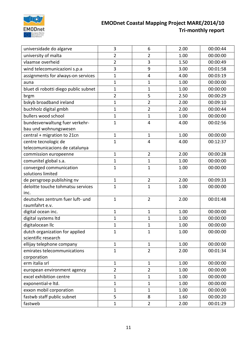

| universidade do algarve              | 3              | $6\,$          | 2.00 | 00:00:44 |
|--------------------------------------|----------------|----------------|------|----------|
| university of malta                  | $\overline{2}$ | 2              | 1.00 | 00:00:00 |
| vlaamse overheid                     | $\overline{2}$ | 3              | 1.50 | 00:00:49 |
| wind telecomunicazioni s.p.a         | 3              | 9              | 3.00 | 00:01:58 |
| assignments for always-on services   | 1              | 4              | 4.00 | 00:03:19 |
| auna                                 | $\mathbf{1}$   | $\mathbf{1}$   | 1.00 | 00:00:00 |
| bluet di robotti diego public subnet | $\mathbf{1}$   | 1              | 1.00 | 00:00:00 |
| brgm                                 | $\overline{2}$ | 5              | 2.50 | 00:00:29 |
| bskyb broadband ireland              | 1              | $\overline{2}$ | 2.00 | 00:09:10 |
| buchholz digital gmbh                | $\mathbf{1}$   | $\overline{2}$ | 2.00 | 00:00:44 |
| bullers wood school                  | $\mathbf{1}$   | $\mathbf{1}$   | 1.00 | 00:00:00 |
| bundesverwaltung fuer verkehr-       | $\mathbf{1}$   | $\overline{4}$ | 4.00 | 00:02:56 |
| bau und wohnungswesen                |                |                |      |          |
| central + migration to 21cn          | $\mathbf{1}$   | 1              | 1.00 | 00:00:00 |
| centre tecnologic de                 | $\mathbf{1}$   | $\overline{4}$ | 4.00 | 00:12:37 |
| telecomunicacions de catalunya       |                |                |      |          |
| commission europeenne                | $\mathbf{1}$   | $\overline{2}$ | 2.00 | 00:00:28 |
| comunitel global s.a.                | $\mathbf{1}$   | $\mathbf{1}$   | 1.00 | 00:00:00 |
| converged communication              | $\mathbf{1}$   | 1              | 1.00 | 00:00:00 |
| solutions limited                    |                |                |      |          |
| de persgroep publishing nv           | 1              | $\overline{2}$ | 2.00 | 00:09:33 |
| deloitte touche tohmatsu services    | $\mathbf{1}$   | $\mathbf 1$    | 1.00 | 00:00:00 |
| inc.                                 |                |                |      |          |
| deutsches zentrum fuer luft- und     | $\mathbf{1}$   | $\overline{2}$ | 2.00 | 00:01:48 |
| raumfahrt e.v.                       |                |                |      |          |
| digital ocean inc.                   | $\mathbf{1}$   | $\mathbf{1}$   | 1.00 | 00:00:00 |
| digital systems ltd                  | $\mathbf{1}$   | 1              | 1.00 | 00:00:00 |
| digitalocean IIc                     | 1              | 1              | 1.00 | 00:00:00 |
| dutch organization for applied       | 1              | 1              | 1.00 | 00:00:00 |
| scientific research                  |                |                |      |          |
| ellijay telephone company            | $\mathbf{1}$   | $\mathbf{1}$   | 1.00 | 00:00:00 |
| emirates telecommunications          | $\mathbf{1}$   | $\overline{2}$ | 2.00 | 00:01:34 |
| corporation                          | $\mathbf{1}$   |                |      |          |
| erm italia srl                       |                | $\mathbf{1}$   | 1.00 | 00:00:00 |
| european environment agency          | $\overline{2}$ | $\overline{2}$ | 1.00 | 00:00:00 |
| excel exhibition centre              | 1              | 1              | 1.00 | 00:00:00 |
| exponential-e ltd.                   | $\mathbf{1}$   | $\mathbf{1}$   | 1.00 | 00:00:00 |
| exxon mobil corporation              | $\mathbf{1}$   | $\mathbf{1}$   | 1.00 | 00:00:00 |
| fastwb staff public subnet           | 5              | 8              | 1.60 | 00:00:20 |
| fastweb                              | $\mathbf{1}$   | $\overline{2}$ | 2.00 | 00:01:29 |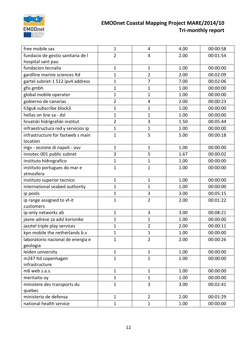

| free mobile sas                               | $\mathbf{1}$   | 4              | 4.00 | 00:00:58 |
|-----------------------------------------------|----------------|----------------|------|----------|
| fundacio de gestio sanitaria de l             | $\overline{2}$ | $\overline{4}$ | 2.00 | 00:01:54 |
| hospital sant pau                             |                |                |      |          |
| fundacion tecnalia                            | $\mathbf{1}$   | $\mathbf 1$    | 1.00 | 00:00:00 |
| gardline marine sciences Itd                  | $\mathbf{1}$   | $\overline{2}$ | 2.00 | 00:02:09 |
| gartel subnet-1 512 ipv4 address              | $\mathbf{1}$   | 7              | 7.00 | 00:02:06 |
| gfis gmbh                                     | $\mathbf{1}$   | $\mathbf{1}$   | 1.00 | 00:00:00 |
| global mobile operator                        | $\mathbf 1$    | 1              | 1.00 | 00:00:00 |
| gobierno de canarias                          | $\overline{2}$ | 4              | 2.00 | 00:00:23 |
| h3guk subscribe block3                        | $\mathbf{1}$   | 1              | 1.00 | 00:00:00 |
| hellas on line sa - dsl                       | $\mathbf{1}$   | 1              | 1.00 | 00:00:00 |
| hrvatski hidrigrafski institut                | $\overline{2}$ | 3              | 1.50 | 00:05:44 |
| infraestructura red y servicios ip            | $\mathbf{1}$   | $\mathbf{1}$   | 1.00 | 00:00:00 |
| infrastructure for fastweb s main<br>location | $\mathbf{1}$   | 5              | 5.00 | 00:00:18 |
| ingv - sezione di napoli - ovv                | $\mathbf{1}$   | $\mathbf{1}$   | 1.00 | 00:00:00 |
| innotec-001 public subnet                     | 3              | 5              | 1.67 | 00:00:02 |
| instituto hidrografico                        | $\mathbf{1}$   | $\mathbf{1}$   | 1.00 | 00:00:00 |
| instituto portugues do mar e                  | $\mathbf{1}$   | $\mathbf{1}$   | 1.00 | 00:00:00 |
| atmosfera                                     |                |                |      |          |
| instituto superior tecnico                    | $\mathbf{1}$   | $\mathbf{1}$   | 1.00 | 00:00:00 |
| international seabed authority                | $\mathbf{1}$   | $\mathbf{1}$   | 1.00 | 00:00:00 |
| ip pools                                      | $\mathbf{1}$   | 3              | 3.00 | 00:05:15 |
| ip range assigned to vf-it<br>customers       | $\mathbf{1}$   | $\overline{2}$ | 2.00 | 00:01:22 |
| ip-only networks ab                           | $\mathbf{1}$   | 3              | 3.00 | 00:08:21 |
| javne adrese za adsl korisnike                | $\mathbf{1}$   | 1              | 1.00 | 00:00:00 |
| jazztel triple play services                  | $\mathbf{1}$   | $\overline{2}$ | 2.00 | 00:00:11 |
| kpn mobile the netherlands b.v                | $\mathbf{1}$   | $\mathbf{1}$   | 1.00 | 00:00:00 |
| laboratorio nacional de energia e             | $\mathbf{1}$   | $\overline{2}$ | 2.00 | 00:00:26 |
| geologia                                      |                |                |      |          |
| leiden university                             | $\mathbf{1}$   | $\mathbf{1}$   | 1.00 | 00:00:00 |
| m247 ltd copenhagen                           | $\mathbf{1}$   | $\mathbf{1}$   | 1.00 | 00:00:00 |
| infrastructure                                |                |                |      |          |
| m6 web s.a.s.                                 | $\mathbf{1}$   | $\mathbf{1}$   | 1.00 | 00:00:00 |
| meritaito oy                                  | $\mathbf{1}$   | $\mathbf{1}$   | 1.00 | 00:00:00 |
| ministere des transports du                   | $\mathbf{1}$   | 3              | 3.00 | 00:02:41 |
| quebec                                        |                |                |      |          |
| ministerio de defensa                         | $\mathbf{1}$   | $\overline{2}$ | 2.00 | 00:01:29 |
| national health service                       | $\mathbf{1}$   | $\mathbf{1}$   | 1.00 | 00:00:00 |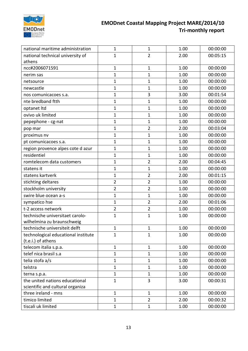

| national maritime administration    | $\mathbf{1}$   | 1              | 1.00 | 00:00:00 |
|-------------------------------------|----------------|----------------|------|----------|
| national technical university of    | $\mathbf{1}$   | $\overline{2}$ | 2.00 | 00:05:15 |
| athens                              |                |                |      |          |
| ncc#2006071591                      | $\mathbf{1}$   | $\mathbf{1}$   | 1.00 | 00:00:00 |
| nerim sas                           | $\mathbf{1}$   | $\mathbf{1}$   | 1.00 | 00:00:00 |
| netsource                           | $\mathbf{1}$   | $\mathbf{1}$   | 1.00 | 00:00:00 |
| newcastle                           | $\mathbf{1}$   | $\mathbf{1}$   | 1.00 | 00:00:00 |
| nos comunicacoes s.a.               | $\mathbf{1}$   | 3              | 3.00 | 00:01:54 |
| nte bredband ftth                   | $\mathbf{1}$   | $\overline{1}$ | 1.00 | 00:00:00 |
| optanet Itd                         | $\mathbf{1}$   | $\mathbf{1}$   | 1.00 | 00:00:00 |
| ovivo uk limited                    | $\mathbf{1}$   | $\mathbf{1}$   | 1.00 | 00:00:00 |
| pepephone - cg-nat                  | $\mathbf{1}$   | $\mathbf{1}$   | 1.00 | 00:00:00 |
| pop mar                             | $\mathbf{1}$   | $\overline{2}$ | 2.00 | 00:03:04 |
| proximus nv                         | $\mathbf{1}$   | 1              | 1.00 | 00:00:00 |
| pt comunicacoes s.a.                | $\mathbf{1}$   | $\mathbf{1}$   | 1.00 | 00:00:00 |
| region provence alpes cote d azur   | $\mathbf{1}$   | 1              | 1.00 | 00:00:00 |
| residentiel                         | $\mathbf{1}$   | $\mathbf 1$    | 1.00 | 00:00:00 |
| romtelecom data customers           | 1              | $\overline{2}$ | 2.00 | 00:04:45 |
| statens it                          | $\mathbf{1}$   | 1              | 1.00 | 00:00:00 |
| statens kartverk                    | $\mathbf{1}$   | $\overline{2}$ | 2.00 | 00:01:15 |
| stichting deltares                  | $\overline{2}$ | $\overline{2}$ | 1.00 | 00:00:00 |
| stockholm university                | $\overline{2}$ | $\overline{2}$ | 1.00 | 00:00:00 |
| swire blue ocean a-s                | $\mathbf{1}$   | $\mathbf{1}$   | 1.00 | 00:00:00 |
| sympatico hse                       | $\mathbf{1}$   | $\overline{2}$ | 2.00 | 00:01:06 |
| t-2 access network                  | $\overline{2}$ | $\overline{2}$ | 1.00 | 00:00:00 |
| technische universitaet carolo-     | $\mathbf{1}$   | $\mathbf{1}$   | 1.00 | 00:00:00 |
| wilhelmina zu braunschweig          |                |                |      |          |
| technische universiteit delft       | $\mathbf{1}$   | $\mathbf{1}$   | 1.00 | 00:00:00 |
| technological educational institute | $\mathbf{1}$   | $\mathbf{1}$   | 1.00 | 00:00:00 |
| (t.e.i.) of athens                  |                |                |      |          |
| telecom italia s.p.a.               | $\mathbf{1}$   | $\mathbf{1}$   | 1.00 | 00:00:00 |
| telef nica brasil s.a               | $\mathbf{1}$   | $\mathbf{1}$   | 1.00 | 00:00:00 |
| telia stofa a/s                     | $\mathbf{1}$   | $\mathbf{1}$   | 1.00 | 00:00:00 |
| telstra                             | $\mathbf{1}$   | $\mathbf{1}$   | 1.00 | 00:00:00 |
| terna s.p.a.                        | $\mathbf{1}$   | $\mathbf{1}$   | 1.00 | 00:00:00 |
| the united nations educational      | $\mathbf{1}$   | 3              | 3.00 | 00:00:31 |
| scientific and cultural organiza    |                |                |      |          |
| three ireland - mns                 | $\mathbf{1}$   | $\mathbf{1}$   | 1.00 | 00:00:00 |
| timico limited                      | $\mathbf{1}$   | $\overline{2}$ | 2.00 | 00:00:32 |
| tiscali uk limited                  | $\mathbf{1}$   | $\mathbf{1}$   | 1.00 | 00:00:00 |